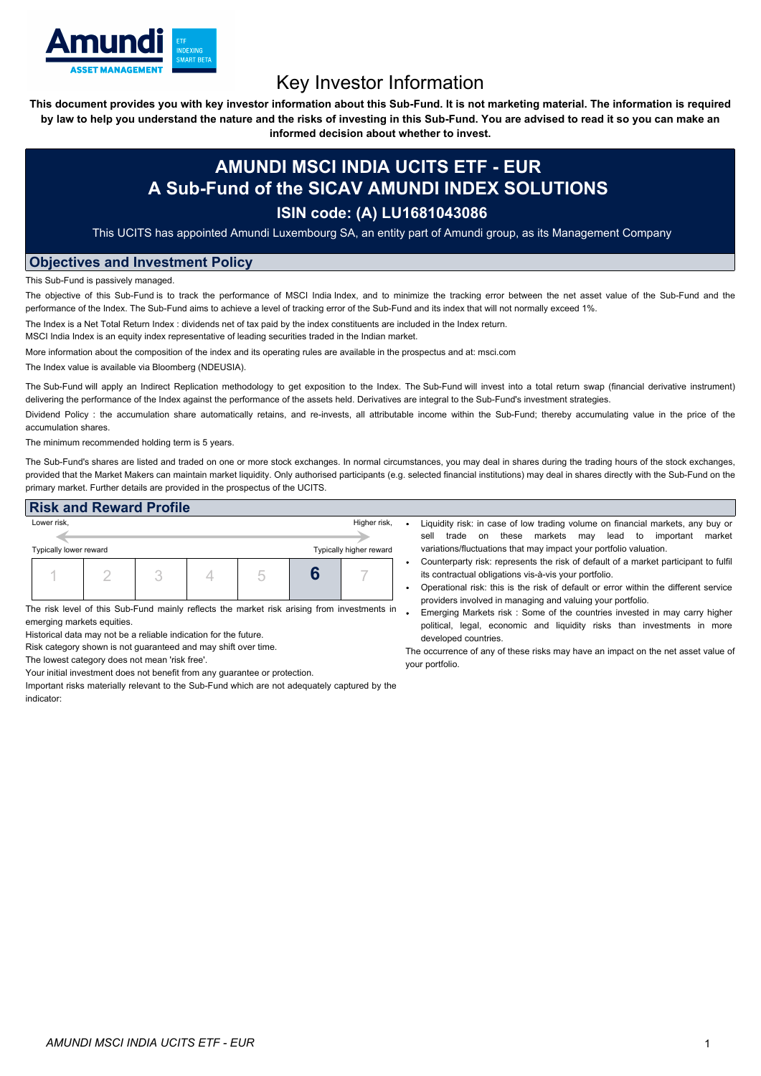

# Key Investor Information

This document provides you with key investor information about this Sub-Fund. It is not marketing material. The information is required by law to help you understand the nature and the risks of investing in this Sub-Fund. You are advised to read it so you can make an

**informed decision about whether to invest.**

## **AMUNDI MSCI INDIA UCITS ETF - EUR A Sub-Fund of the SICAV AMUNDI INDEX SOLUTIONS**

### **ISIN code: (A) LU1681043086**

This UCITS has appointed Amundi Luxembourg SA, an entity part of Amundi group, as its Management Company

### **Objectives and Investment Policy**

This Sub-Fund is passively managed.

The objective of this Sub-Fund is to track the performance of MSCI India Index, and to minimize the tracking error between the net asset value of the Sub-Fund and the performance of the Index. The Sub-Fund aims to achieve a level of tracking error of the Sub-Fund and its index that will not normally exceed 1%.

The Index is a Net Total Return Index : dividends net of tax paid by the index constituents are included in the Index return.

MSCI India Index is an equity index representative of leading securities traded in the Indian market.

More information about the composition of the index and its operating rules are available in the prospectus and at: msci.com

The Index value is available via Bloomberg (NDEUSIA).

The Sub-Fund will apply an Indirect Replication methodology to get exposition to the Index. The Sub-Fund will invest into a total return swap (financial derivative instrument) delivering the performance of the Index against the performance of the assets held. Derivatives are integral to the Sub-Fund's investment strategies.

Dividend Policy: the accumulation share automatically retains, and re-invests, all attributable income within the Sub-Fund; thereby accumulating value in the price of the accumulation shares.

The minimum recommended holding term is 5 years.

The Sub-Fund's shares are listed and traded on one or more stock exchanges. In normal circumstances, you may deal in shares during the trading hours of the stock exchanges, provided that the Market Makers can maintain market liquidity. Only authorised participants (e.g. selected financial institutions) may deal in shares directly with the Sub-Fund on the primary market. Further details are provided in the prospectus of the UCITS.

| <b>Risk and Reward Profile</b>                    |  |              |  |  |  |  |  |
|---------------------------------------------------|--|--------------|--|--|--|--|--|
| Lower risk,                                       |  | Higher risk, |  |  |  |  |  |
|                                                   |  |              |  |  |  |  |  |
| Typically higher reward<br>Typically lower reward |  |              |  |  |  |  |  |
|                                                   |  |              |  |  |  |  |  |

The risk level of this Sub-Fund mainly reflects the market risk arising from investments in emerging markets equities.

Historical data may not be a reliable indication for the future.

Risk category shown is not guaranteed and may shift over time.

The lowest category does not mean 'risk free'.

Your initial investment does not benefit from any guarantee or protection.

Important risks materially relevant to the Sub-Fund which are not adequately captured by the indicator:

- Liquidity risk: in case of low trading volume on financial markets, any buy or sell trade on these markets may lead to important market variations/fluctuations that may impact your portfolio valuation.
- Counterparty risk: represents the risk of default of a market participant to fulfil its contractual obligations vis-à-vis your portfolio.
- Operational risk: this is the risk of default or error within the different service providers involved in managing and valuing your portfolio.
- Emerging Markets risk : Some of the countries invested in may carry higher political, legal, economic and liquidity risks than investments in more developed countries.

The occurrence of any of these risks may have an impact on the net asset value of your portfolio.